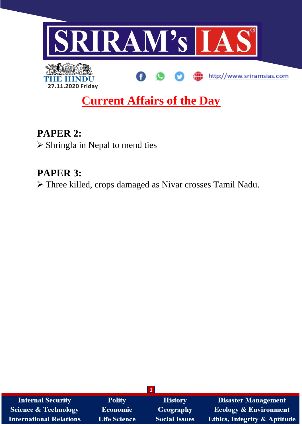

# **Current Affairs of the Day**

**PAPER 2:** ➢ Shringla in Nepal to mend ties

## **PAPER 3:**

➢ Three killed, crops damaged as Nivar crosses Tamil Nadu.

| <b>Internal Security</b>        | <b>Polity</b>       | <b>History</b>       | <b>Disaster Management</b>              |
|---------------------------------|---------------------|----------------------|-----------------------------------------|
| <b>Science &amp; Technology</b> | Economic            | Geography            | <b>Ecology &amp; Environment</b>        |
| <b>International Relations</b>  | <b>Life Science</b> | <b>Social Issues</b> | <b>Ethics, Integrity &amp; Aptitude</b> |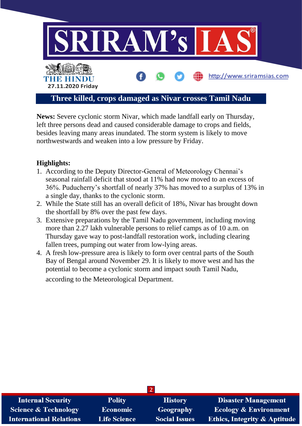

**News:** Severe cyclonic storm Nivar, which made landfall early on Thursday, left three persons dead and caused considerable damage to crops and fields, besides leaving many areas inundated. The storm system is likely to move northwestwards and weaken into a low pressure by Friday.

#### **Highlights:**

- 1. According to the Deputy Director-General of Meteorology Chennai's seasonal rainfall deficit that stood at 11% had now moved to an excess of 36%. Puducherry's shortfall of nearly 37% has moved to a surplus of 13% in a single day, thanks to the cyclonic storm.
- 2. While the State still has an overall deficit of 18%, Nivar has brought down the shortfall by 8% over the past few days.
- 3. Extensive preparations by the Tamil Nadu government, including moving more than 2.27 lakh vulnerable persons to relief camps as of 10 a.m. on Thursday gave way to post-landfall restoration work, including clearing fallen trees, pumping out water from low-lying areas.
- 4. A fresh low-pressure area is likely to form over central parts of the South Bay of Bengal around November 29. It is likely to move west and has the potential to become a cyclonic storm and impact south Tamil Nadu, according to the Meteorological Department.

| <b>Internal Security</b>        | <b>Polity</b>       | <b>History</b>       | <b>Disaster Management</b>              |
|---------------------------------|---------------------|----------------------|-----------------------------------------|
| <b>Science &amp; Technology</b> | <b>Economic</b>     | <b>Geography</b>     | <b>Ecology &amp; Environment</b>        |
| <b>International Relations</b>  | <b>Life Science</b> | <b>Social Issues</b> | <b>Ethics, Integrity &amp; Aptitude</b> |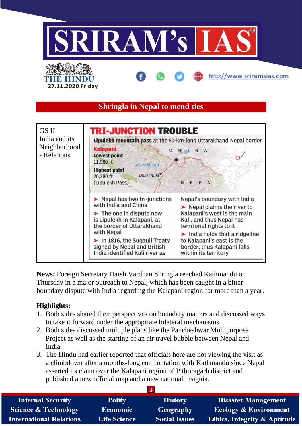

**News:** Foreign Secretary Harsh Vardhan Shringla reached Kathmandu on Thursday in a major outreach to Nepal, which has been caught in a bitter boundary dispute with India regarding the Kalapani region for more than a year.

### **Highlights:**

- 1. Both sides shared their perspectives on boundary matters and discussed ways to take it forward under the appropriate bilateral mechanisms.
- 2. Both sides discussed multiple plans like the Pancheshwar Multipurpose Project as well as the starting of an air travel bubble between Nepal and India.
- 3. The Hindu had earlier reported that officials here are not viewing the visit as a climbdown after a months-long confrontation with Kathmandu since Nepal asserted its claim over the Kalapani region of Pithoragarh district and published a new official map and a new national insignia.

| <b>Internal Security</b>        | <b>Polity</b>       | <b>History</b>       | <b>Disaster Management</b>              |
|---------------------------------|---------------------|----------------------|-----------------------------------------|
| <b>Science &amp; Technology</b> | <b>Economic</b>     | Geography            | <b>Ecology &amp; Environment</b>        |
| <b>International Relations</b>  | <b>Life Science</b> | <b>Social Issues</b> | <b>Ethics, Integrity &amp; Aptitude</b> |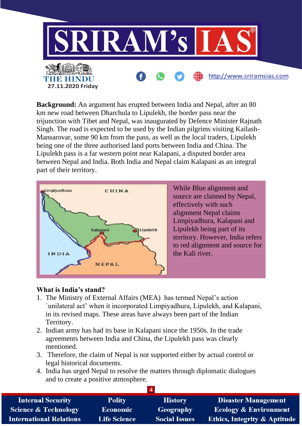

**Background:** An argument has erupted between India and Nepal, after an 80 km new road between Dharchula to Lipulekh, the border pass near the trijunction with Tibet and Nepal, was inaugurated by Defence Minister Rajnath Singh. The road is expected to be used by the Indian pilgrims visiting Kailash-Mansarovar, some 90 km from the pass, as well as the local traders, Lipulekh being one of the three authorised land ports between India and China. The Lipulekh pass is a far western point near Kalapani, a disputed border area between Nepal and India. Both India and Nepal claim Kalapani as an integral part of their territory.



While Blue alignment and source are claimed by Nepal, effectively with such alignment Nepal claims Limpiyadhura, Kalapani and Lipulekh being part of its territory. However, India refers to red alignment and source for the Kali river.

#### **What is India's stand?**

- 1. The Ministry of External Affairs (MEA) has termed Nepal's action `unilateral act' when it incorporated Limpiyadhura, Lipulekh, and Kalapani, in its revised maps. These areas have always been part of the Indian Territory.
- 2. Indian army has had its base in Kalapani since the 1950s. In the trade agreements between India and China, the Lipulekh pass was clearly mentioned.
- 3. Therefore, the claim of Nepal is not supported either by actual control or legal historical documents.
- 4. India has urged Nepal to resolve the matters through diplomatic dialogues and to create a positive atmosphere.

| <b>Internal Security</b>        | <b>Polity</b>       | <b>History</b>       | <b>Disaster Management</b>              |
|---------------------------------|---------------------|----------------------|-----------------------------------------|
| <b>Science &amp; Technology</b> | <b>Economic</b>     | Geography            | <b>Ecology &amp; Environment</b>        |
| <b>International Relations</b>  | <b>Life Science</b> | <b>Social Issues</b> | <b>Ethics, Integrity &amp; Aptitude</b> |